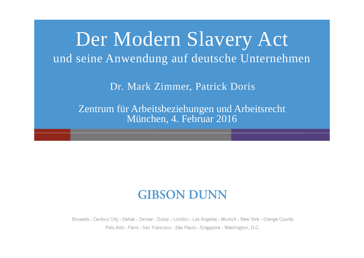## Der Modern Slavery Act und seine Anwendung auf deutsche Unternehmen

Dr. Mark Zimmer, Patrick Doris

Zentrum für Arbeitsbeziehungen und Arbeitsrecht München, 4. Februar 2016

#### **GIBSON DUNN**

Brussels • Century City • Dallas • Denver • Dubai • London • Los Angeles • Munich • New York • Orange County Palo Alto · Paris · San Francisco · São Paulo · Singapore · Washington, D.C.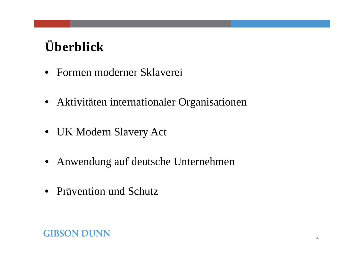## **Überblick**

- Formen moderner Sklaverei
- Aktivitäten internationaler Organisationen
- UK Modern Slavery Act
- Anwendung auf deutsche Unternehmen
- Prävention und Schutz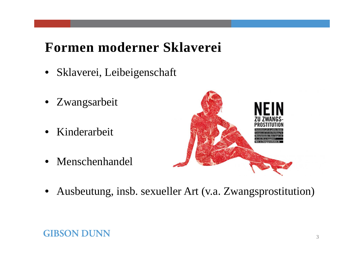#### **Formen moderner Sklaverei**

- Sklaverei, Leibeigenschaft
- Zwangsarbeit
- Kinderarbeit
- Menschenhandel



• Ausbeutung, insb. sexueller Art (v.a. Zwangsprostitution)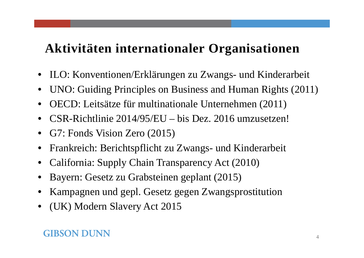#### **Aktivitäten internationaler Organisationen**

- $\bullet$ ILO: Konventionen/Erklärungen zu Zwangs- und Kinderarbeit
- $\bullet$ UNO: Guiding Principles on Business and Human Rights (2011)
- $\bullet$ OECD: Leitsätze für multinationale Unternehmen (2011)
- •CSR-Richtlinie 2014/95/EU – bis Dez. 2016 umzusetzen!
- $\bullet$ G7: Fonds Vision Zero (2015)
- $\bullet$ Frankreich: Berichtspflicht zu Zwangs- und Kinderarbeit
- •California: Supply Chain Transparency Act (2010)
- •Bayern: Gesetz zu Grabsteinen geplant (2015)
- $\bullet$ Kampagnen und gepl. Gesetz gegen Zwangsprostitution
- $\bullet$ (UK) Modern Slavery Act 2015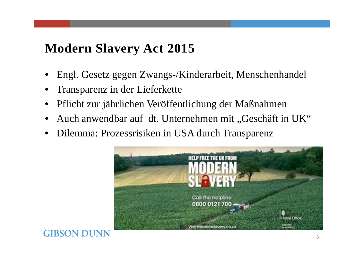#### **Modern Slavery Act 2015**

- •Engl. Gesetz gegen Zwangs-/Kinderarbeit, Menschenhandel
- •Transparenz in der Lieferkette

- •Pflicht zur jährlichen Veröffentlichung der Maßnahmen
- •Auch anwendbar auf dt. Unternehmen mit "Geschäft in UK"
- Dilemma: Prozessrisiken in USA durch Transparenz

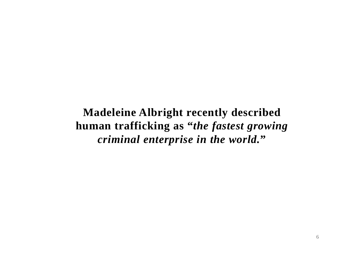**Madeleine Albright recently described human trafficking as "***the fastest growing criminal enterprise in the world.* **"**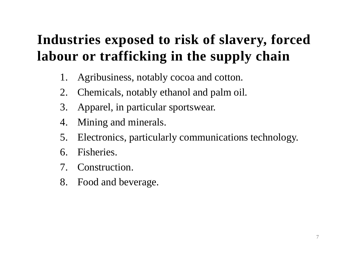## **Industries exposed to risk of slavery, forced labour or trafficking in the supply chain**

- 1. Agribusiness, notably cocoa and cotton.
- 2. Chemicals, notably ethanol and palm oil.
- 3. Apparel, in particular sportswear.
- 4. Mining and minerals.
- 5. Electronics, particularly communications technology.
- 6. Fisheries.
- 7. Construction.
- 8. Food and beverage.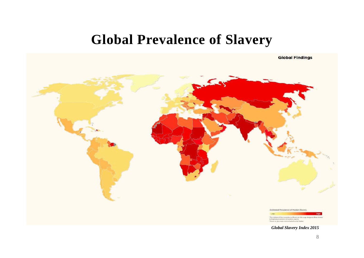#### **Global Prevalence of Slavery**

**Global Findings** 

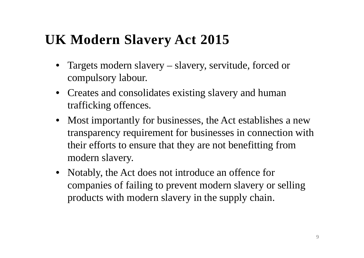#### **UK Modern Slavery Act 2015**

- • Targets modern slavery – slavery, servitude, forced or compulsory labour.
- Creates and consolidates existing slavery and human trafficking offences.
- Most importantly for businesses, the Act establishes a new transparency requirement for businesses in connection with their efforts to ensure that they are not benefitting from modern slavery.
- Notably, the Act does not introduce an offence for companies of failing to prevent modern slavery or selling products with modern slavery in the supply chain.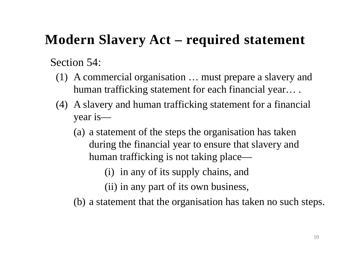#### **Modern Slavery Act – required statement**

Section 54:

- (1) A commercial organisation … must prepare a slavery and human trafficking statement for each financial year… .
- (4) A slavery and human trafficking statement for a financial year is—
	- (a) a statement of the steps the organisation has taken during the financial year to ensure that slavery and human trafficking is not taking place—
		- (i) in any of its supply chains, and
		- (ii) in any part of its own business,
	- (b) a statement that the organisation has taken no such steps.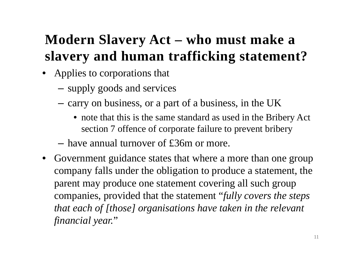## **Modern Slavery Act – who must make a slavery and human trafficking statement?**

- Applies to corporations that
	- –supply goods and services
	- –- carry on business, or a part of a business, in the UK
		- note that this is the same standard as used in the Bribery Act section 7 offence of corporate failure to prevent bribery
	- have annual turnover of £36m or more.
- Government guidance states that where a more than one group company falls under the obligation to produce a statement, the parent may produce one statement covering all such group companies, provided that the statement "*fully covers the steps that each of [those] organisations have taken in the relevant financial year.* "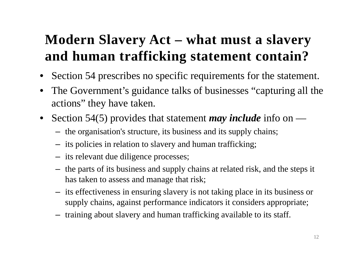### **Modern Slavery Act – what must a slavery and human trafficking statement contain?**

- $\bullet$ Section 54 prescribes no specific requirements for the statement.
- • The Government's guidance talks of businesses "capturing all the actions" they have taken.
- $\bullet$  Section 54(5) provides that statement *may include* info on —
	- the organisation's structure, its business and its supply chains;
	- its policies in relation to slavery and human trafficking;
	- its relevant due diligence processes;
	- the parts of its business and supply chains at related risk, and the steps it has taken to assess and manage that risk;
	- its effectiveness in ensuring slavery is not taking place in its business or supply chains, against performance indicators it considers appropriate;
	- training about slavery and human trafficking available to its staff.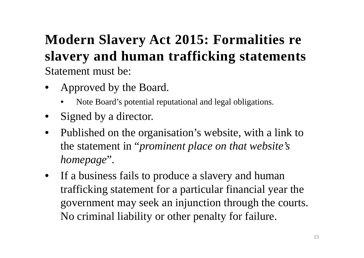#### **Modern Slavery Act 2015: Formalities re slavery and human trafficking statements** Statement must be:

- • Approved by the Board.
	- •Note Board's potential reputational and legal obligations.
- $\bullet$ Signed by a director.
- $\bullet$  Published on the organisation's website, with a link to the statement in "*prominent place on that website's homepage*".
- If a business fails to produce a slavery and human trafficking statement for a particular financial year the government may seek an injunction through the courts. No criminal liability or other penalty for failure.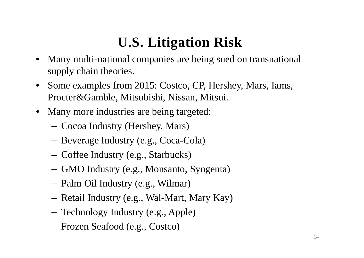#### **U.S. Litigation Risk**

- • Many multi-national companies are being sued on transnational supply chain theories.
- • Some examples from 2015: Costco, CP, Hershey, Mars, Iams, Procter&Gamble, Mitsubishi, Nissan, Mitsui.
- Many more industries are being targeted:
	- Cocoa Industry (Hershey, Mars)
	- Beverage Industry (e.g., Coca-Cola)
	- –Coffee Industry (e.g., Starbucks)
	- –GMO Industry (e.g., Monsanto, Syngenta)
	- Palm Oil Industry (e.g., Wilmar)
	- Retail Industry (e.g., Wal-Mart, Mary Kay)
	- Technology Industry (e.g., Apple)
	- Frozen Seafood (e.g., Costco)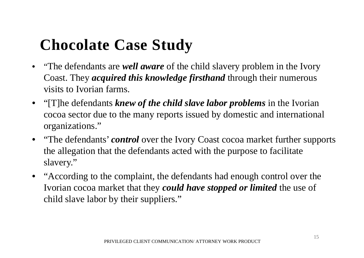## **Chocolate Case Study**

- "The defendants are *well aware* of the child slavery problem in the Ivory Coast. They *acquired this knowledge firsthand* through their numerous visits to Ivorian farms.
- "[T]he defendants *knew of the child slave labor problems* in the Ivorian cocoa sector due to the many reports issued by domestic and international organizations."
- "The defendants' *control* over the Ivory Coast cocoa market further supports the allegation that the defendants acted with the purpose to facilitate slavery."
- "According to the complaint, the defendants had enough control over the Ivorian cocoa market that they *could have stopped or limited* the use of child slave labor by their suppliers."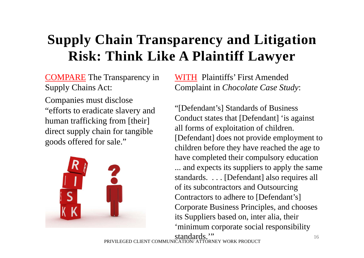## **Supply Chain Transparency and Litigation Risk: Think Like A Plaintiff Lawyer**

COMPARE The Transparency in Supply Chains Act:

Companies must disclose "efforts to eradicate slavery and human trafficking from [their] direct supply chain for tangible goods offered for sale."



WITH Plaintiffs' First Amended Complaint in *Chocolate Case Study*:

"[Defendant's] Standards of Business Conduct states that [Defendant] 'is against all forms of exploitation of children. [Defendant] does not provide employment to children before they have reached the age to have completed their compulsory education ... and expects its suppliers to apply the same standards. . . . [Defendant] also requires all of its subcontractors and Outsourcing Contractors to adhere to [Defendant's] Corporate Business Principles, and chooses its Suppliers based on, inter alia, their 'minimum corporate social responsibility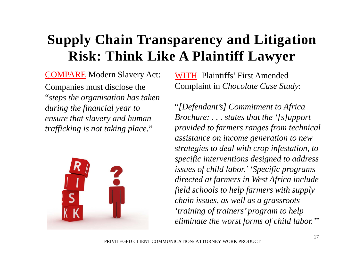### **Supply Chain Transparency and Litigation Risk: Think Like A Plaintiff Lawyer**

COMPARE Modern Slavery Act: Companies must disclose the "*steps the organisation has taken during the financial year to ensure that slavery and human trafficking is not taking place.* "



WITH Plaintiffs' First Amended Complaint in *Chocolate Case Study*:

"*[Defendant's] Commitment to Africa Brochure: . . . states that the '[s]upport provided to farmers ranges from technical assistance on income generation to new strategies to deal with crop infestation, to specific interventions designed to address issues of child labor.' 'Specific programs directed at farmers in West Africa include field schools to help farmers with supply chain issues, as well as a grassroots 'training of trainers' program to help eliminate the worst forms of child labor.'* "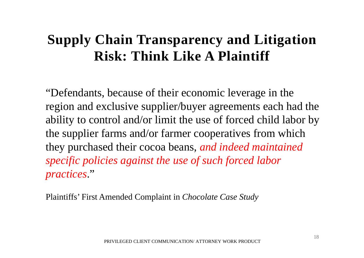#### **Supply Chain Transparency and Litigation Risk: Think Like A Plaintiff**

"Defendants, because of their economic leverage in the region and exclusive supplier/buyer agreements each had the ability to control and/or limit the use of forced child labor by the supplier farms and/or farmer cooperatives from which they purchased their cocoa beans, *and indeed maintained specific policies against the use of such forced labor practices*."

Plaintiffs' First Amended Complaint in *Chocolate Case Study*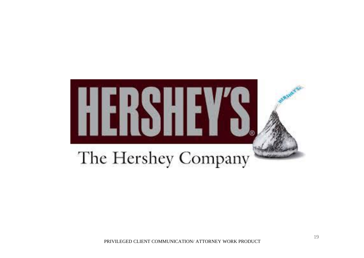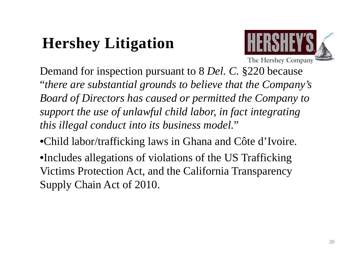# **Hershey Litigation**



Demand for inspection pursuant to 8 *Del. C.* §220 because "*there are substantial grounds to believe that the Company's Board of Directors has caused or permitted the Company to support the use of unlawful child labor, in fact integrating this illegal conduct into its business model.*"

•Child labor/trafficking laws in Ghana and Côte d'Ivoire.

•Includes allegations of violations of the US Trafficking Victims Protection Act, and the California Transparency Supply Chain Act of 2010.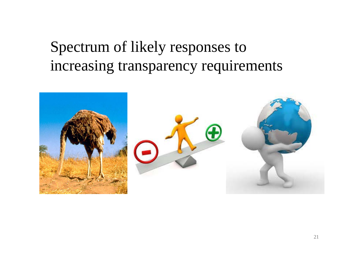## Spectrum of likely responses to increasing transparency requirements

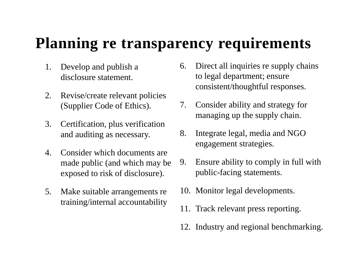## **Planning re transparency requirements**

- 1. Develop and publish a disclosure statement.
- 2. Revise/create relevant policies (Supplier Code of Ethics).
- 3. Certification, plus verification and auditing as necessary.
- 4. Consider which documents are made public (and which may be exposed to risk of disclosure).
- 5. Make suitable arrangements re training/internal accountability
- 6. Direct all inquiries re supply chains to legal department; ensure consistent/thoughtful responses.
- 7. Consider ability and strategy for managing up the supply chain.
- 8. Integrate legal, media and NGO engagement strategies.
- 9. Ensure ability to comply in full with public-facing statements.
- 10. Monitor legal developments.
- 11. Track relevant press reporting.
- 12. Industry and regional benchmarking.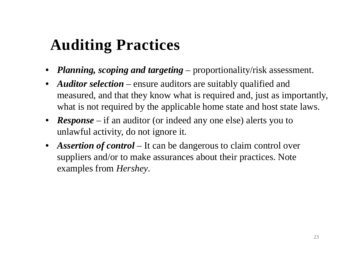# **Auditing Practices**

- *Planning, scoping and targeting*  proportionality/risk assessment.
- *Auditor selection* ensure auditors are suitably qualified and measured, and that they know what is required and, just as importantly, what is not required by the applicable home state and host state laws.
- *Response* if an auditor (or indeed any one else) alerts you to unlawful activity, do not ignore it.
- *Assertion of control* It can be dangerous to claim control over suppliers and/or to make assurances about their practices. Note examples from *Hershey*.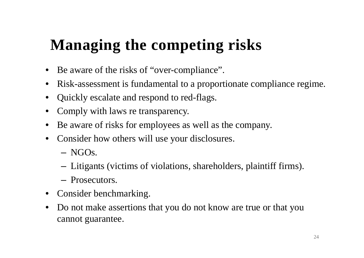# **Managing the competing risks**

- $\bullet$ Be aware of the risks of "over-compliance".
- $\bullet$ Risk-assessment is fundamental to a proportionate compliance regime.
- •Quickly escalate and respond to red-flags.
- •Comply with laws re transparency.
- •Be aware of risks for employees as well as the company.
- $\bullet$  Consider how others will use your disclosures.
	- NGOs.
	- –Litigants (victims of violations, shareholders, plaintiff firms).
	- Prosecutors.
- Consider benchmarking.
- • Do not make assertions that you do not know are true or that you cannot guarantee.